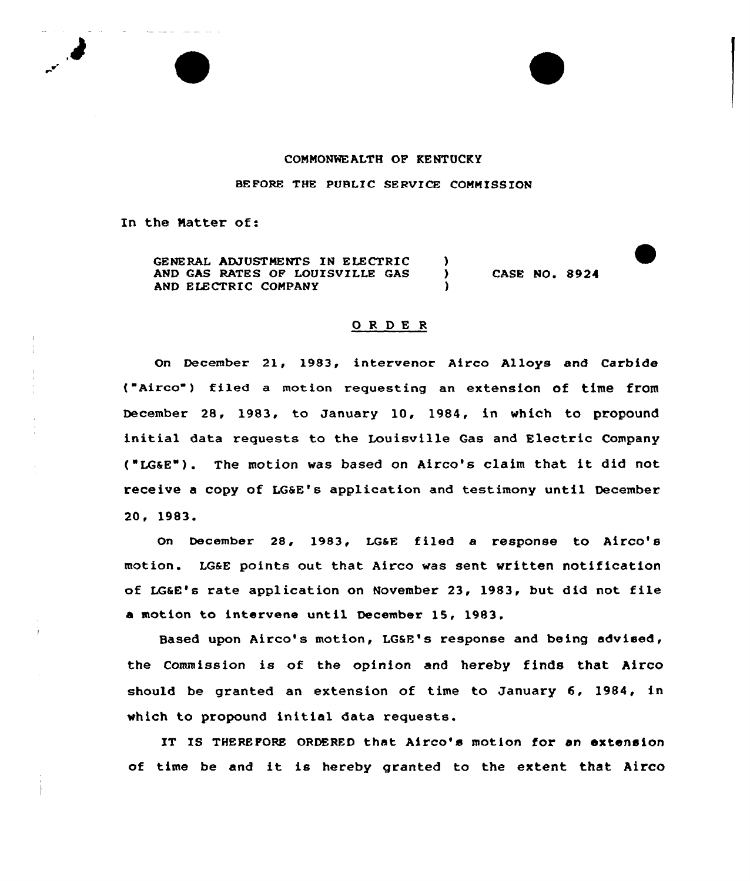## COMMONNEALTH OF KENTUCKY

BEFORE THE PUBLIC SERVICE COMMISSION

In the Natter of:

GENERAL ADJUSTMENTS IN ELECTRIC (1998)<br>AND GAS RATES OF LOUISVILLE GAS AND GAS RATES OF LOUISVILLE GAS AND ELECTRIC COMPANY

CASE NO. 8924

## ORDER

On December 21, 1983, intervenor Airco Alloys and Carbide ("Airco") filed <sup>a</sup> motion requesting an extension of time from December 28, 1983, to January 10, 1984, in which to propound initial data requests to the Louisville Gas and Electric Company ('LGaE"). The motion was based on Airco's claim that it did not receive a copy of LG6E's application and testimony until December 20, 1983.

On December 28, 1983, LGaE filed a response to Airco's motion. LGaE points out that Airco was sent written notification of LGaE's rate application on November 23, 1983, but did not file a motion to intervene until December 15, 1983.

Based upon Airco's motion, LGSE's response and being advised, the Commission is of the opinion and hereby finds that Airco should be granted an extension of time to January 6, 1984, in which to propound initial data requests.

IT IS THEREFORE ORDERED that Airco's motion for an extension of time be and it is hereby granted to the extent that Airco